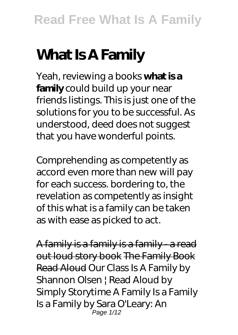# **What Is A Family**

Yeah, reviewing a books **what is a family** could build up your near friends listings. This is just one of the solutions for you to be successful. As understood, deed does not suggest that you have wonderful points.

Comprehending as competently as accord even more than new will pay for each success. bordering to, the revelation as competently as insight of this what is a family can be taken as with ease as picked to act.

A family is a family is a family - a read out loud story book The Family Book Read Aloud Our Class Is A Family by Shannon Olsen | Read Aloud by Simply Storytime *A Family Is a Family Is a Family by Sara O'Leary: An* Page 1/12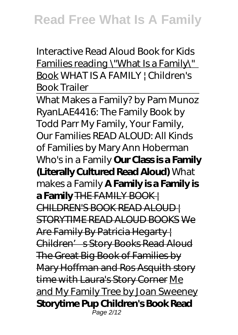*Interactive Read Aloud Book for Kids* Families reading \"What Is a Family\" Book *WHAT IS A FAMILY | Children's Book Trailer*

What Makes a Family? by Pam Munoz Ryan*LAE4416: The Family Book by Todd Parr My Family, Your Family, Our Families* READ ALOUD: All Kinds of Families by Mary Ann Hoberman Who's in a Family **Our Class is a Family (Literally Cultured Read Aloud)** What makes a Family **A Family is a Family is a Family** THE FAMILY BOOK | CHILDREN'S BOOK READ ALOUD | STORYTIME READ ALOUD BOOKS We Are Family By Patricia Hegarty | Children' s Story Books Read Aloud The Great Big Book of Families by Mary Hoffman and Ros Asquith story time with Laura's Story Corner Me and My Family Tree by Joan Sweeney **Storytime Pup Children's Book Read** Page 2/12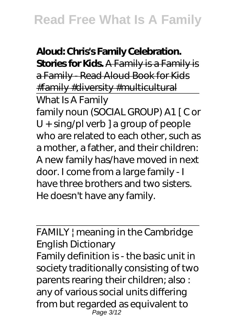**Aloud: Chris's Family Celebration. Stories for Kids.** A Family is a Family is a Family - Read Aloud Book for Kids #family #diversity #multicultural What Is A Family family noun (SOCIAL GROUP) A1 [ C or U + sing/pl verb ] a group of people who are related to each other, such as a mother, a father, and their children: A new family has/have moved in next door. I come from a large family - I have three brothers and two sisters. He doesn't have any family.

FAMILY | meaning in the Cambridge English Dictionary Family definition is - the basic unit in society traditionally consisting of two parents rearing their children; also : any of various social units differing from but regarded as equivalent to Page 3/12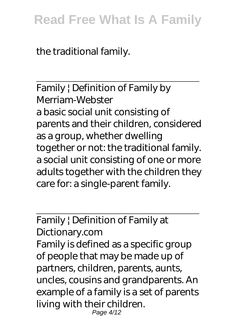#### the traditional family.

Family | Definition of Family by Merriam-Webster a basic social unit consisting of parents and their children, considered as a group, whether dwelling together or not: the traditional family. a social unit consisting of one or more adults together with the children they care for: a single-parent family.

Family | Definition of Family at Dictionary.com Family is defined as a specific group of people that may be made up of partners, children, parents, aunts, uncles, cousins and grandparents. An example of a family is a set of parents living with their children. Page 4/12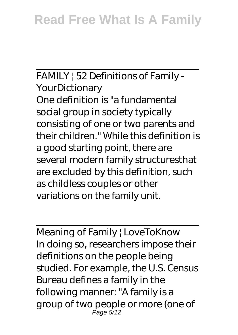FAMILY | 52 Definitions of Family - **YourDictionary** One definition is "a fundamental social group in society typically consisting of one or two parents and their children." While this definition is a good starting point, there are several modern family structuresthat are excluded by this definition, such as childless couples or other variations on the family unit.

Meaning of Family | LoveToKnow In doing so, researchers impose their definitions on the people being studied. For example, the U.S. Census Bureau defines a family in the following manner: "A family is a group of two people or more (one of Page 5/12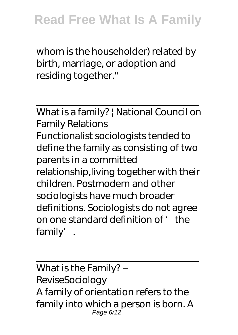whom is the householder) related by birth, marriage, or adoption and residing together."

What is a family? | National Council on Family Relations Functionalist sociologists tended to define the family as consisting of two parents in a committed relationship,living together with their children. Postmodern and other sociologists have much broader definitions. Sociologists do not agree on one standard definition of  $'$  the family'.

What is the Family? – ReviseSociology A family of orientation refers to the family into which a person is born. A Page 6/12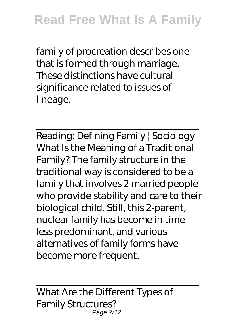family of procreation describes one that is formed through marriage. These distinctions have cultural significance related to issues of lineage.

Reading: Defining Family | Sociology What Is the Meaning of a Traditional Family? The family structure in the traditional way is considered to be a family that involves 2 married people who provide stability and care to their biological child. Still, this 2-parent, nuclear family has become in time less predominant, and various alternatives of family forms have become more frequent.

What Are the Different Types of Family Structures? Page 7/12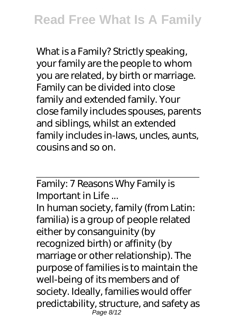What is a Family? Strictly speaking, your family are the people to whom you are related, by birth or marriage. Family can be divided into close family and extended family. Your close family includes spouses, parents and siblings, whilst an extended family includes in-laws, uncles, aunts, cousins and so on.

Family: 7 Reasons Why Family is Important in Life ...

In human society, family (from Latin: familia) is a group of people related either by consanguinity (by recognized birth) or affinity (by marriage or other relationship). The purpose of families is to maintain the well-being of its members and of society. Ideally, families would offer predictability, structure, and safety as Page 8/12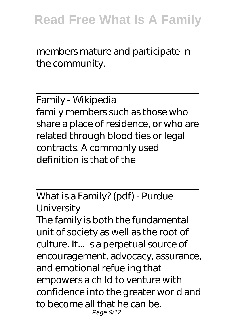members mature and participate in the community.

Family - Wikipedia family members such as those who share a place of residence, or who are related through blood ties or legal contracts. A commonly used definition is that of the

What is a Family? (pdf) - Purdue **University** 

The family is both the fundamental unit of society as well as the root of culture. It... is a perpetual source of encouragement, advocacy, assurance, and emotional refueling that empowers a child to venture with confidence into the greater world and to become all that he can be. Page 9/12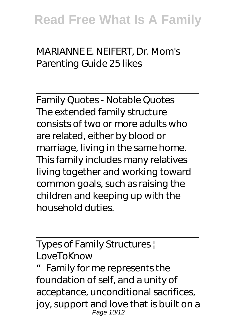#### MARIANNE E. NEIFERT, Dr. Mom's Parenting Guide 25 likes

Family Quotes - Notable Quotes The extended family structure consists of two or more adults who are related, either by blood or marriage, living in the same home. This family includes many relatives living together and working toward common goals, such as raising the children and keeping up with the household duties.

### Types of Family Structures | LoveToKnow

Family for me represents the foundation of self, and a unity of acceptance, unconditional sacrifices, joy, support and love that is built on a Page 10/12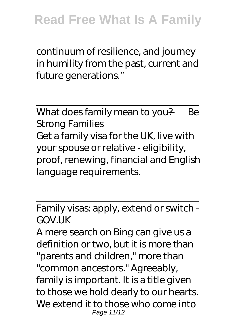continuum of resilience, and journey in humility from the past, current and future generations."

What does family mean to you? — Be Strong Families Get a family visa for the UK, live with your spouse or relative - eligibility, proof, renewing, financial and English language requirements.

Family visas: apply, extend or switch - GOV.UK

A mere search on Bing can give us a definition or two, but it is more than "parents and children," more than "common ancestors." Agreeably, family is important. It is a title given to those we hold dearly to our hearts. We extend it to those who come into Page 11/12